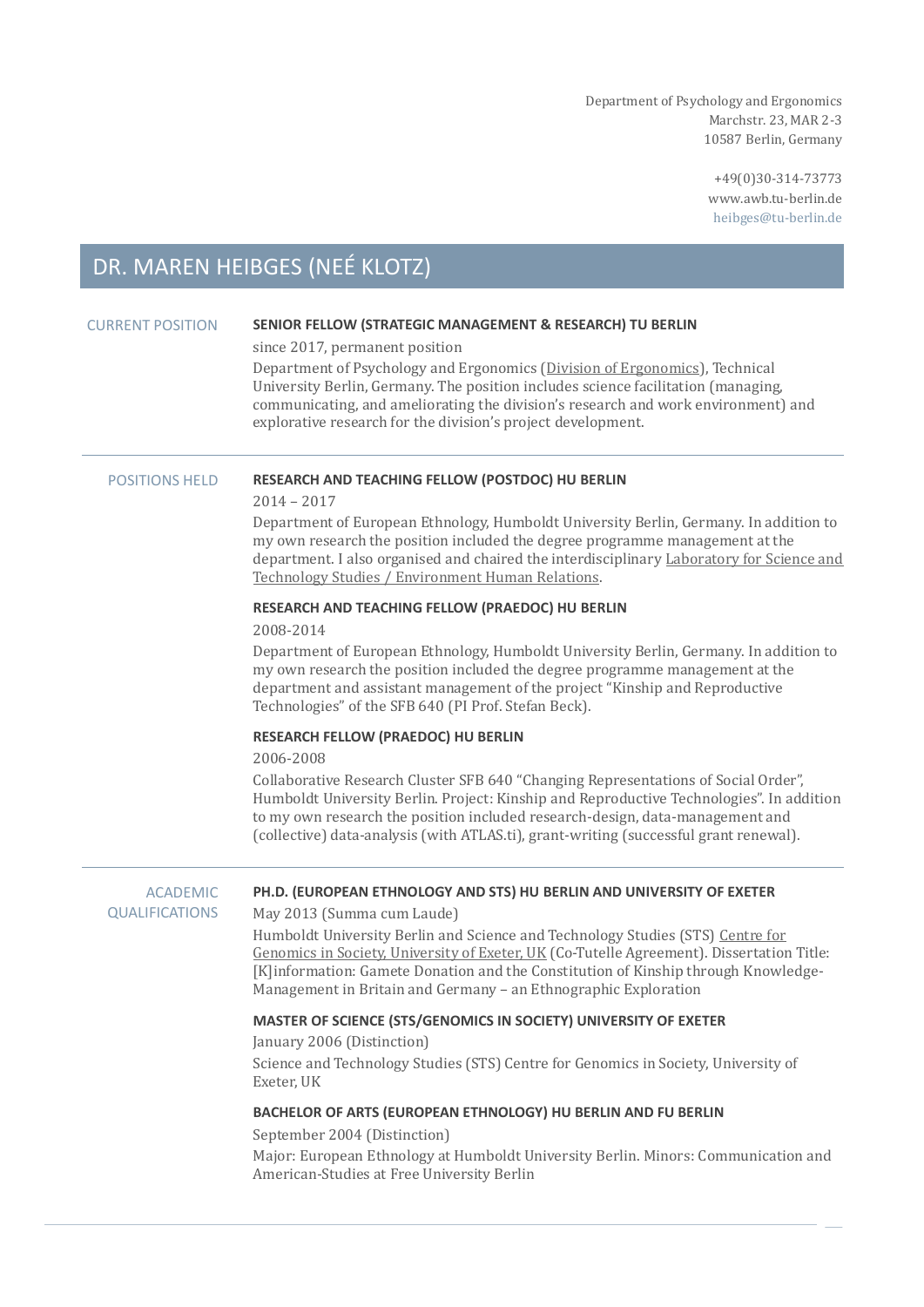Department of Psychology and Ergonomics Marchstr. 23, MAR 2-3 10587 Berlin, Germany

> +49(0)30-314-73773 www.awb.tu-berlin.de heibges@tu-berlin.de

# DR. MAREN HEIBGES (NEÉ KLOTZ)

# CURRENT POSITION **SENIOR FELLOW (STRATEGIC MANAGEMENT & RESEARCH) TU BERLIN**

since 2017, permanent position

Department of Psychology and Ergonomics [\(Division of Ergonomics\)](https://www.awb.tu-berlin.de/menue/aktuelles/), Technical University Berlin, Germany. The position includes science facilitation (managing, communicating, and ameliorating the division's research and work environment) and explorative research for the division's project development.

#### POSITIONS HELD **RESEARCH AND TEACHING FELLOW (POSTDOC) HU BERLIN**

2014 – 2017

Department of European Ethnology, Humboldt University Berlin, Germany. In addition to my own research the position included the degree programme management at the department. I also organised and chaired the interdisciplinary [Laboratory for Science and](https://www2.hu-berlin.de/sts/)  [Technology Studies / Environment Human Relations.](https://www2.hu-berlin.de/sts/)

### **RESEARCH AND TEACHING FELLOW (PRAEDOC) HU BERLIN**

2008-2014

Department of European Ethnology, Humboldt University Berlin, Germany. In addition to my own research the position included the degree programme management at the department and assistant management of the project "Kinship and Reproductive Technologies" of the SFB 640 (PI Prof. Stefan Beck).

#### **RESEARCH FELLOW (PRAEDOC) HU BERLIN**

2006-2008

Collaborative Research Cluster SFB 640 "Changing Representations of Social Order", Humboldt University Berlin. Project: Kinship and Reproductive Technologies". In addition to my own research the position included research-design, data-management and (collective) data-analysis (with ATLAS.ti), grant-writing (successful grant renewal).

| <b>ACADEMIC</b><br><b>QUALIFICATIONS</b> | PH.D. (EUROPEAN ETHNOLOGY AND STS) HU BERLIN AND UNIVERSITY OF EXETER<br>May 2013 (Summa cum Laude)                                                                                                                                                                                                                                  |
|------------------------------------------|--------------------------------------------------------------------------------------------------------------------------------------------------------------------------------------------------------------------------------------------------------------------------------------------------------------------------------------|
|                                          | Humboldt University Berlin and Science and Technology Studies (STS) Centre for<br>Genomics in Society, University of Exeter, UK (Co-Tutelle Agreement). Dissertation Title:<br>[K]information: Gamete Donation and the Constitution of Kinship through Knowledge-<br>Management in Britain and Germany - an Ethnographic Exploration |
|                                          | MASTER OF SCIENCE (STS/GENOMICS IN SOCIETY) UNIVERSITY OF EXETER                                                                                                                                                                                                                                                                     |
|                                          | January 2006 (Distinction)                                                                                                                                                                                                                                                                                                           |
|                                          | Science and Technology Studies (STS) Centre for Genomics in Society, University of<br>Exeter, UK                                                                                                                                                                                                                                     |
|                                          | BACHELOR OF ARTS (EUROPEAN ETHNOLOGY) HU BERLIN AND FU BERLIN                                                                                                                                                                                                                                                                        |
|                                          | September 2004 (Distinction)                                                                                                                                                                                                                                                                                                         |
|                                          | Major: European Ethnology at Humboldt University Berlin. Minors: Communication and<br>American-Studies at Free University Berlin                                                                                                                                                                                                     |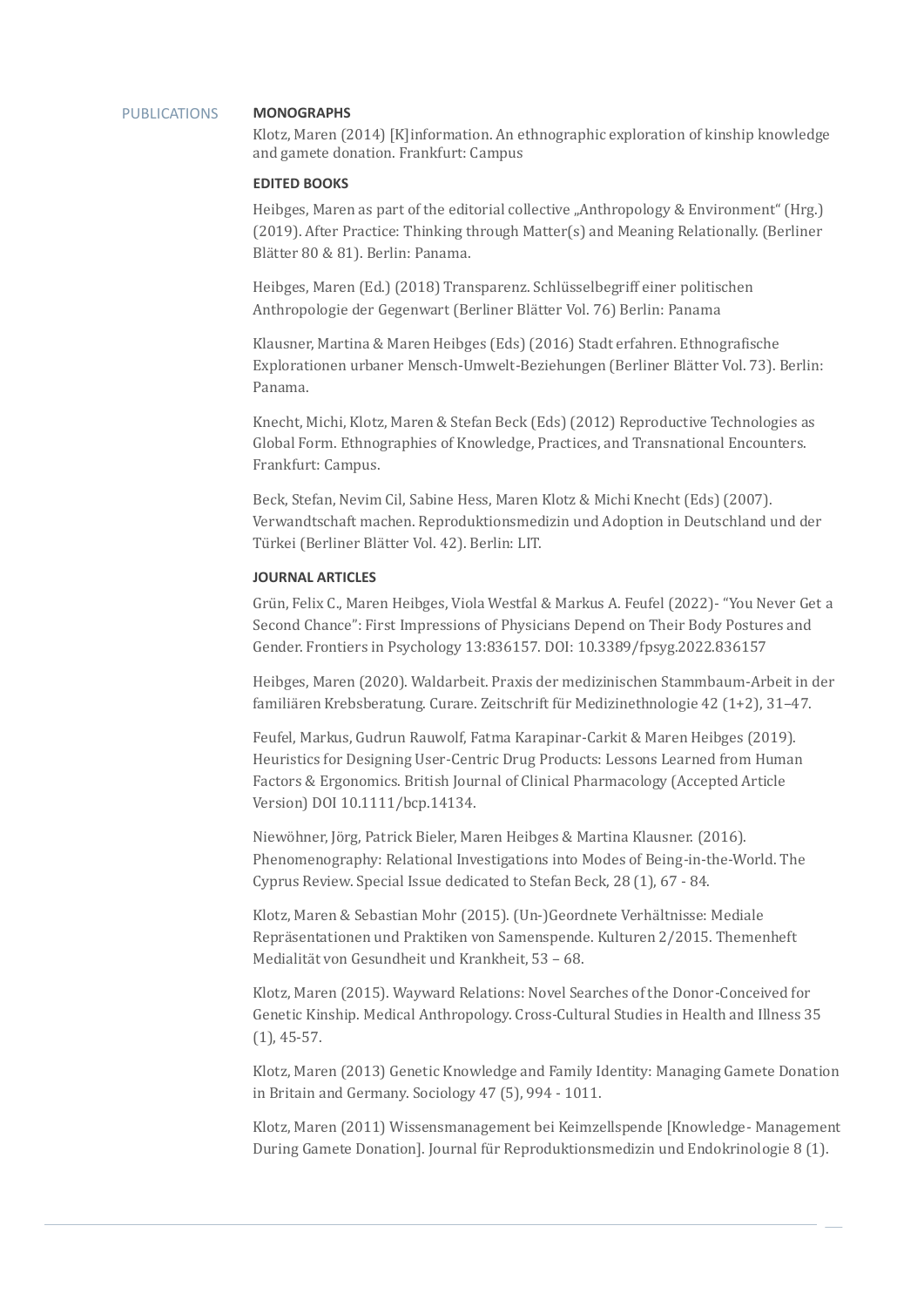#### PUBLICATIONS **MONOGRAPHS**

Klotz, Maren (2014) [K]information. An ethnographic exploration of kinship knowledge and gamete donation. Frankfurt: Campus

## **EDITED BOOKS**

Heibges, Maren as part of the editorial collective "Anthropology & Environment" (Hrg.) (2019). After Practice: Thinking through Matter(s) and Meaning Relationally. (Berliner Blätter 80 & 81). Berlin: Panama.

Heibges, Maren (Ed.) (2018) Transparenz. Schlüsselbegriff einer politischen Anthropologie der Gegenwart (Berliner Blätter Vol. 76) Berlin: Panama

Klausner, Martina & Maren Heibges (Eds) (2016) Stadt erfahren. Ethnografische Explorationen urbaner Mensch-Umwelt-Beziehungen (Berliner Blätter Vol. 73). Berlin: Panama.

Knecht, Michi, Klotz, Maren & Stefan Beck (Eds) (2012) Reproductive Technologies as Global Form. Ethnographies of Knowledge, Practices, and Transnational Encounters. Frankfurt: Campus.

Beck, Stefan, Nevim Cil, Sabine Hess, Maren Klotz & Michi Knecht (Eds) (2007). Verwandtschaft machen. Reproduktionsmedizin und Adoption in Deutschland und der Türkei (Berliner Blätter Vol. 42). Berlin: LIT.

# **JOURNAL ARTICLES**

Grün, Felix C., Maren Heibges, Viola Westfal & Markus A. Feufel (2022) - "You Never Get a Second Chance": First Impressions of Physicians Depend on Their Body Postures and Gender. Frontiers in Psychology 13:836157. DOI: 10.3389/fpsyg.2022.836157

Heibges, Maren (2020). Waldarbeit. Praxis der medizinischen Stammbaum-Arbeit in der familiären Krebsberatung. Curare. Zeitschrift für Medizinethnologie 42 (1+2), 31-47.

Feufel, Markus, Gudrun Rauwolf, Fatma Karapinar-Carkit & Maren Heibges (2019). Heuristics for Designing User-Centric Drug Products: Lessons Learned from Human Factors & Ergonomics. British Journal of Clinical Pharmacology (Accepted Article Version) DOI 10.1111/bcp.14134.

Niewöhner, Jörg, Patrick Bieler, Maren Heibges & Martina Klausner. (2016). Phenomenography: Relational Investigations into Modes of Being-in-the-World. The Cyprus Review. Special Issue dedicated to Stefan Beck, 28 (1), 67 - 84.

Klotz, Maren & Sebastian Mohr (2015). (Un-)Geordnete Verhältnisse: Mediale Repräsentationen und Praktiken von Samenspende. Kulturen 2/2015. Themenheft Medialität von Gesundheit und Krankheit, 53 – 68.

Klotz, Maren (2015). Wayward Relations: Novel Searches of the Donor-Conceived for Genetic Kinship. Medical Anthropology. Cross-Cultural Studies in Health and Illness 35 (1), 45-57.

Klotz, Maren (2013) Genetic Knowledge and Family Identity: Managing Gamete Donation in Britain and Germany. Sociology 47 (5), 994 - 1011.

Klotz, Maren (2011) Wissensmanagement bei Keimzellspende [Knowledge- Management During Gamete Donation]. Journal für Reproduktionsmedizin und Endokrinologie 8 (1).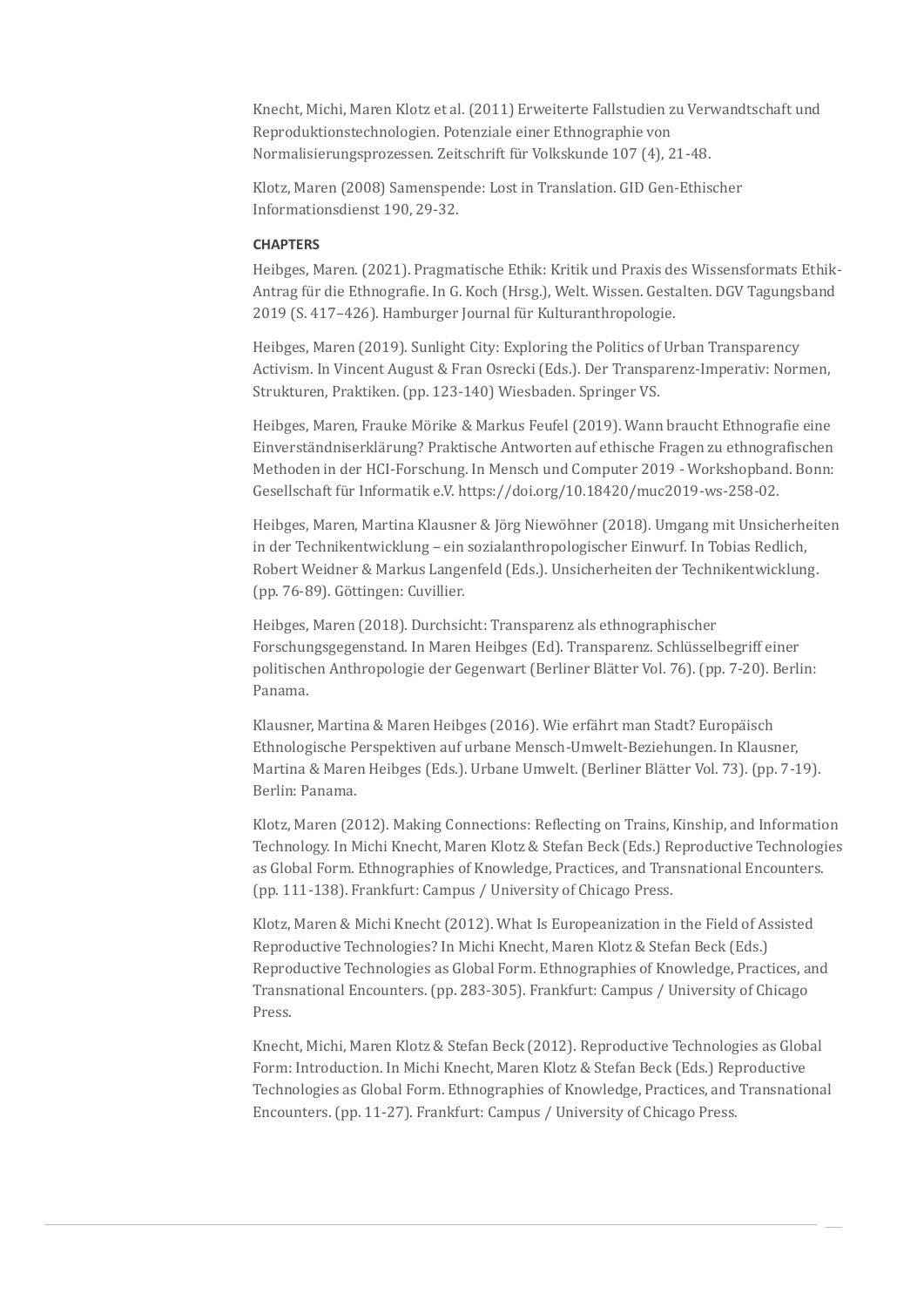Knecht, Michi, Maren Klotz et al. (2011) Erweiterte Fallstudien zu Verwandtschaft und Reproduktionstechnologien. Potenziale einer Ethnographie von Normalisierungsprozessen. Zeitschrift für Volkskunde 107 (4), 21-48.

Klotz, Maren (2008) Samenspende: Lost in Translation. GID Gen-Ethischer Informationsdienst 190, 29-32.

#### **CHAPTERS**

Heibges, Maren. (2021). Pragmatische Ethik: Kritik und Praxis des Wissensformats Ethik-Antrag für die Ethnografie. In G. Koch (Hrsg.), Welt. Wissen. Gestalten. DGV Tagungsband 2019 (S. 417-426). Hamburger Journal für Kulturanthropologie.

Heibges, Maren (2019). Sunlight City: Exploring the Politics of Urban Transparency Activism. In Vincent August & Fran Osrecki (Eds.). Der Transparenz-Imperativ: Normen, Strukturen, Praktiken. (pp. 123-140) Wiesbaden. Springer VS.

Heibges, Maren, Frauke Mörike & Markus Feufel (2019). Wann braucht Ethnografie eine Einverständniserklärung? Praktische Antworten auf ethische Fragen zu ethnografischen Methoden in der HCI-Forschung. In Mensch und Computer 2019 - Workshopband. Bonn: Gesellschaft für Informatik e.V. https://doi.org/10.18420/muc2019-ws-258-02.

Heibges, Maren, Martina Klausner & Jörg Niewöhner (2018). Umgang mit Unsicherheiten in der Technikentwicklung – ein sozialanthropologischer Einwurf. In Tobias Redlich, Robert Weidner & Markus Langenfeld (Eds.). Unsicherheiten der Technikentwicklung. (pp. 76-89). Göttingen: Cuvillier.

Heibges, Maren (2018). Durchsicht: Transparenz als ethnographischer Forschungsgegenstand. In Maren Heibges (Ed). Transparenz. Schlüsselbegriff einer politischen Anthropologie der Gegenwart (Berliner Blätter Vol. 76). (pp. 7-20). Berlin: Panama.

Klausner, Martina & Maren Heibges (2016). Wie erfährt man Stadt? Europäisch Ethnologische Perspektiven auf urbane Mensch-Umwelt-Beziehungen. In Klausner, Martina & Maren Heibges (Eds.). Urbane Umwelt. (Berliner Blätter Vol. 73). (pp. 7-19). Berlin: Panama.

Klotz, Maren (2012). Making Connections: Reflecting on Trains, Kinship, and Information Technology. In Michi Knecht, Maren Klotz & Stefan Beck (Eds.) Reproductive Technologies as Global Form. Ethnographies of Knowledge, Practices, and Transnational Encounters. (pp. 111-138). Frankfurt: Campus / University of Chicago Press.

Klotz, Maren & Michi Knecht (2012). What Is Europeanization in the Field of Assisted Reproductive Technologies? In Michi Knecht, Maren Klotz & Stefan Beck (Eds.) Reproductive Technologies as Global Form. Ethnographies of Knowledge, Practices, and Transnational Encounters. (pp. 283-305). Frankfurt: Campus / University of Chicago Press.

Knecht, Michi, Maren Klotz & Stefan Beck (2012). Reproductive Technologies as Global Form: Introduction. In Michi Knecht, Maren Klotz & Stefan Beck (Eds.) Reproductive Technologies as Global Form. Ethnographies of Knowledge, Practices, and Transnational Encounters. (pp. 11-27). Frankfurt: Campus / University of Chicago Press.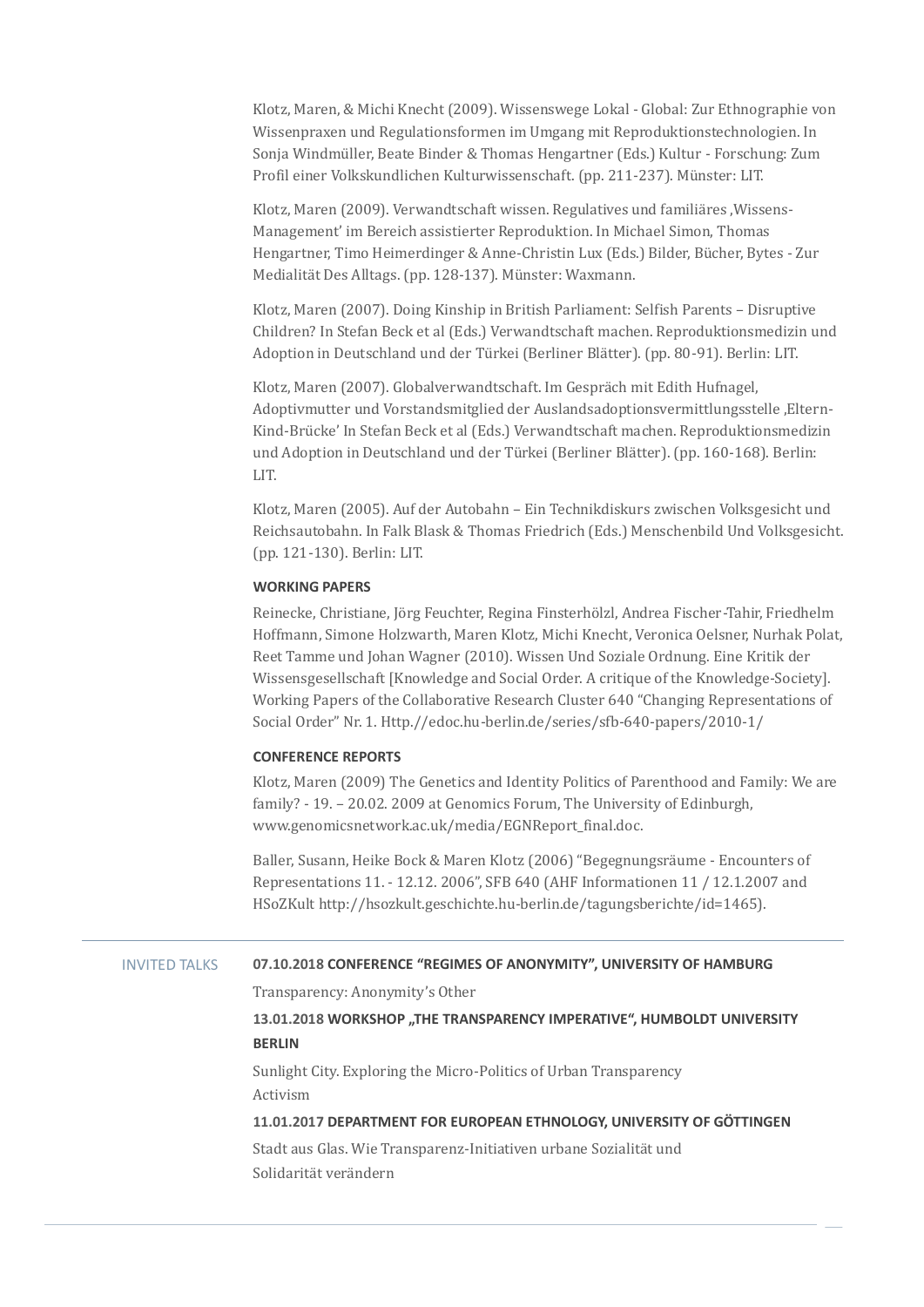Klotz, Maren, & Michi Knecht (2009). Wissenswege Lokal - Global: Zur Ethnographie von Wissenpraxen und Regulationsformen im Umgang mit Reproduktionstechnologien. In Sonja Windmüller, Beate Binder & Thomas Hengartner (Eds.) Kultur - Forschung: Zum Profil einer Volkskundlichen Kulturwissenschaft. (pp. 211-237). Münster: LIT.

Klotz, Maren (2009). Verwandtschaft wissen. Regulatives und familiäres .Wissens-Management' im Bereich assistierter Reproduktion. In Michael Simon, Thomas Hengartner, Timo Heimerdinger & Anne-Christin Lux (Eds.) Bilder, Bücher, Bytes - Zur Medialität Des Alltags. (pp. 128-137). Münster: Waxmann.

Klotz, Maren (2007). Doing Kinship in British Parliament: Selfish Parents – Disruptive Children? In Stefan Beck et al (Eds.) Verwandtschaft machen. Reproduktionsmedizin und Adoption in Deutschland und der Türkei (Berliner Blätter). (pp. 80-91). Berlin: LIT.

Klotz, Maren (2007). Globalverwandtschaft. Im Gespräch mit Edith Hufnagel, Adoptivmutter und Vorstandsmitglied der Auslandsadoptionsvermittlungsstelle 'Eltern-Kind-Brücke' In Stefan Beck et al (Eds.) Verwandtschaft machen. Reproduktionsmedizin und Adoption in Deutschland und der Türkei (Berliner Blätter). (pp. 160-168). Berlin: LIT.

Klotz, Maren (2005). Auf der Autobahn – Ein Technikdiskurs zwischen Volksgesicht und Reichsautobahn. In Falk Blask & Thomas Friedrich (Eds.) Menschenbild Und Volksgesicht. (pp. 121-130). Berlin: LIT.

## **WORKING PAPERS**

Reinecke, Christiane, Jörg Feuchter, Regina Finsterhölzl, Andrea Fischer-Tahir, Friedhelm Hoffmann, Simone Holzwarth, Maren Klotz, Michi Knecht, Veronica Oelsner, Nurhak Polat, Reet Tamme und Johan Wagner (2010). Wissen Und Soziale Ordnung. Eine Kritik der Wissensgesellschaft [Knowledge and Social Order. A critique of the Knowledge-Society]. Working Papers of the Collaborative Research Cluster 640 "Changing Representations of Social Order" Nr. 1. Http.//edoc.hu-berlin.de/series/sfb-640-papers/2010-1/

# **CONFERENCE REPORTS**

Klotz, Maren (2009) The Genetics and Identity Politics of Parenthood and Family: We are family? - 19. – 20.02. 2009 at Genomics Forum, The University of Edinburgh, www.genomicsnetwork.ac.uk/media/EGNReport\_final.doc.

Baller, Susann, Heike Bock & Maren Klotz (2006) "Begegnungsra ume - Encounters of Representations 11. - 12.12. 2006", SFB 640 (AHF Informationen 11 / 12.1.2007 and HSoZKult http://hsozkult.geschichte.hu-berlin.de/tagungsberichte/id=1465).

# INVITED TALKS **07.10.2018 CONFERENCE "REGIMES OF ANONYMITY", UNIVERSITY OF HAMBURG**

Transparency: Anonymity's Other

# **13.01.2018 WORKSHOP "THE TRANSPARENCY IMPERATIVE", HUMBOLDT UNIVERSITY BERLIN**

Sunlight City. Exploring the Micro-Politics of Urban Transparency Activism

# **11.01.2017 DEPARTMENT FOR EUROPEAN ETHNOLOGY, UNIVERSITY OF GÖTTINGEN**

Stadt aus Glas. Wie Transparenz-Initiativen urbane Sozialität und Solidarität verändern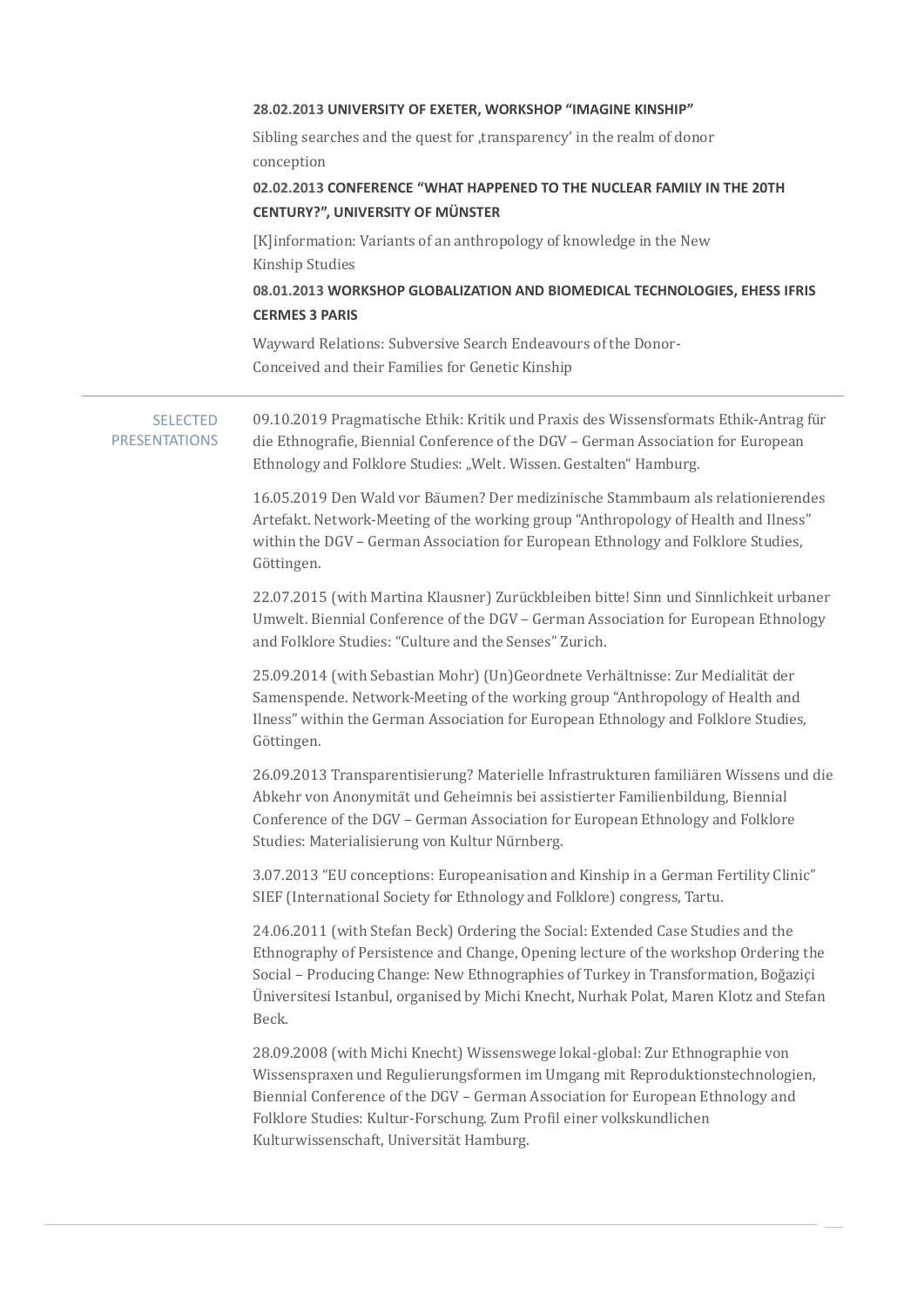|                                         | 28.02.2013 UNIVERSITY OF EXETER, WORKSHOP "IMAGINE KINSHIP"                                                                                                                                                                                                                                                                                                          |
|-----------------------------------------|----------------------------------------------------------------------------------------------------------------------------------------------------------------------------------------------------------------------------------------------------------------------------------------------------------------------------------------------------------------------|
|                                         | Sibling searches and the quest for , transparency' in the realm of donor<br>conception                                                                                                                                                                                                                                                                               |
|                                         | 02.02.2013 CONFERENCE "WHAT HAPPENED TO THE NUCLEAR FAMILY IN THE 20TH<br><b>CENTURY?", UNIVERSITY OF MÜNSTER</b>                                                                                                                                                                                                                                                    |
|                                         | [K]information: Variants of an anthropology of knowledge in the New<br>Kinship Studies                                                                                                                                                                                                                                                                               |
|                                         | 08.01.2013 WORKSHOP GLOBALIZATION AND BIOMEDICAL TECHNOLOGIES, EHESS IFRIS<br><b>CERMES 3 PARIS</b>                                                                                                                                                                                                                                                                  |
|                                         | Wayward Relations: Subversive Search Endeavours of the Donor-<br>Conceived and their Families for Genetic Kinship                                                                                                                                                                                                                                                    |
| <b>SELECTED</b><br><b>PRESENTATIONS</b> | 09.10.2019 Pragmatische Ethik: Kritik und Praxis des Wissensformats Ethik-Antrag für<br>die Ethnografie, Biennial Conference of the DGV - German Association for European<br>Ethnology and Folklore Studies: "Welt. Wissen. Gestalten" Hamburg.                                                                                                                      |
|                                         | 16.05.2019 Den Wald vor Bäumen? Der medizinische Stammbaum als relationierendes<br>Artefakt. Network-Meeting of the working group "Anthropology of Health and Ilness"<br>within the DGV - German Association for European Ethnology and Folklore Studies,<br>Göttingen.                                                                                              |
|                                         | 22.07.2015 (with Martina Klausner) Zurückbleiben bitte! Sinn und Sinnlichkeit urbaner<br>Umwelt. Biennial Conference of the DGV - German Association for European Ethnology<br>and Folklore Studies: "Culture and the Senses" Zurich.                                                                                                                                |
|                                         | 25.09.2014 (with Sebastian Mohr) (Un)Geordnete Verhältnisse: Zur Medialität der<br>Samenspende. Network-Meeting of the working group "Anthropology of Health and<br>Ilness" within the German Association for European Ethnology and Folklore Studies,<br>Göttingen.                                                                                                 |
|                                         | 26.09.2013 Transparentisierung? Materielle Infrastrukturen familiären Wissens und die<br>Abkehr von Anonymität und Geheimnis bei assistierter Familienbildung, Biennial<br>Conference of the DGV - German Association for European Ethnology and Folklore<br>Studies: Materialisierung von Kultur Nürnberg.                                                          |
|                                         | 3.07.2013 "EU conceptions: Europeanisation and Kinship in a German Fertility Clinic"<br>SIEF (International Society for Ethnology and Folklore) congress, Tartu.                                                                                                                                                                                                     |
|                                         | 24.06.2011 (with Stefan Beck) Ordering the Social: Extended Case Studies and the<br>Ethnography of Persistence and Change, Opening lecture of the workshop Ordering the<br>Social - Producing Change: New Ethnographies of Turkey in Transformation, Boğaziçi<br>Universitesi Istanbul, organised by Michi Knecht, Nurhak Polat, Maren Klotz and Stefan<br>Beck.     |
|                                         | 28.09.2008 (with Michi Knecht) Wissenswege lokal-global: Zur Ethnographie von<br>Wissenspraxen und Regulierungsformen im Umgang mit Reproduktionstechnologien,<br>Biennial Conference of the DGV - German Association for European Ethnology and<br>Folklore Studies: Kultur-Forschung. Zum Profil einer volkskundlichen<br>Kulturwissenschaft, Universität Hamburg. |
|                                         |                                                                                                                                                                                                                                                                                                                                                                      |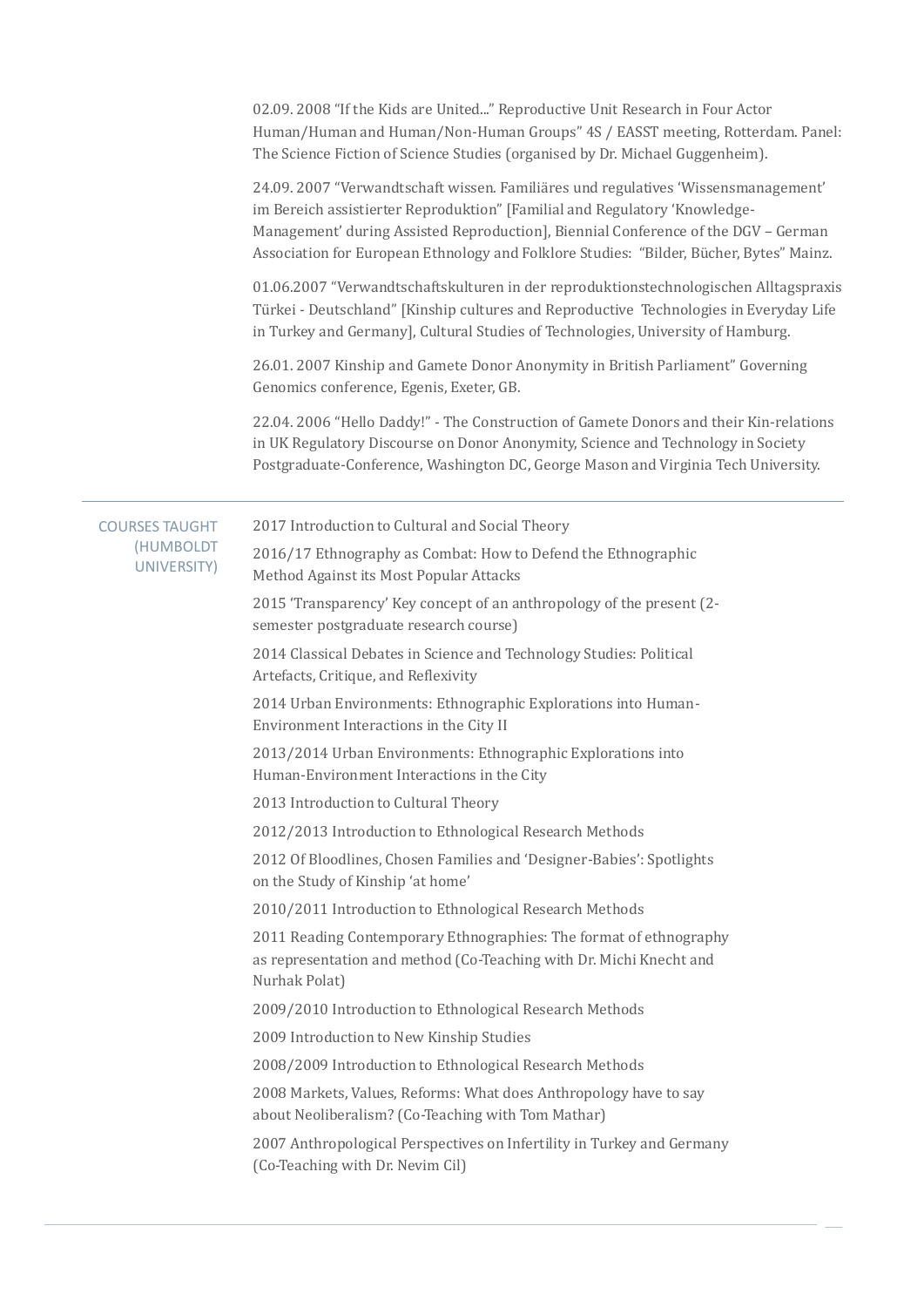02.09. 2008 "If the Kids are United..." Reproductive Unit Research in Four Actor Human/Human and Human/Non-Human Groups" 4S / EASST meeting, Rotterdam. Panel: The Science Fiction of Science Studies (organised by Dr. Michael Guggenheim).

24.09. 2007 "Verwandtschaft wissen. Familia res und regulatives 'Wissensmanagement' im Bereich assistierter Reproduktion" [Familial and Regulatory 'Knowledge-Management' during Assisted Reproduction], Biennial Conference of the DGV – German Association for European Ethnology and Folklore Studies: "Bilder, Bücher, Bytes" Mainz.

01.06.2007 "Verwandtschaftskulturen in der reproduktionstechnologischen Alltagspraxis Türkei - Deutschland" [Kinship cultures and Reproductive Technologies in Everyday Life in Turkey and Germany], Cultural Studies of Technologies, University of Hamburg.

26.01. 2007 Kinship and Gamete Donor Anonymity in British Parliament" Governing Genomics conference, Egenis, Exeter, GB.

22.04. 2006 "Hello Daddy!" - The Construction of Gamete Donors and their Kin-relations in UK Regulatory Discourse on Donor Anonymity, Science and Technology in Society Postgraduate-Conference, Washington DC, George Mason and Virginia Tech University.

|  | <b>COURSES TAUGHT</b>    | 2017 Introduction to Cultural and Social Theory                                                                                                            |
|--|--------------------------|------------------------------------------------------------------------------------------------------------------------------------------------------------|
|  | (HUMBOLDT<br>UNIVERSITY) | 2016/17 Ethnography as Combat: How to Defend the Ethnographic<br>Method Against its Most Popular Attacks                                                   |
|  |                          | 2015 'Transparency' Key concept of an anthropology of the present (2-<br>semester postgraduate research course)                                            |
|  |                          | 2014 Classical Debates in Science and Technology Studies: Political<br>Artefacts, Critique, and Reflexivity                                                |
|  |                          | 2014 Urban Environments: Ethnographic Explorations into Human-<br>Environment Interactions in the City II                                                  |
|  |                          | 2013/2014 Urban Environments: Ethnographic Explorations into<br>Human-Environment Interactions in the City                                                 |
|  |                          | 2013 Introduction to Cultural Theory                                                                                                                       |
|  |                          | 2012/2013 Introduction to Ethnological Research Methods                                                                                                    |
|  |                          | 2012 Of Bloodlines, Chosen Families and 'Designer-Babies': Spotlights<br>on the Study of Kinship 'at home'                                                 |
|  |                          | 2010/2011 Introduction to Ethnological Research Methods                                                                                                    |
|  |                          | 2011 Reading Contemporary Ethnographies: The format of ethnography<br>as representation and method (Co-Teaching with Dr. Michi Knecht and<br>Nurhak Polat) |
|  |                          | 2009/2010 Introduction to Ethnological Research Methods                                                                                                    |
|  |                          | 2009 Introduction to New Kinship Studies                                                                                                                   |
|  |                          | 2008/2009 Introduction to Ethnological Research Methods                                                                                                    |
|  |                          | 2008 Markets, Values, Reforms: What does Anthropology have to say<br>about Neoliberalism? (Co-Teaching with Tom Mathar)                                    |
|  |                          | 2007 Anthropological Perspectives on Infertility in Turkey and Germany<br>(Co-Teaching with Dr. Nevim Cil)                                                 |
|  |                          |                                                                                                                                                            |